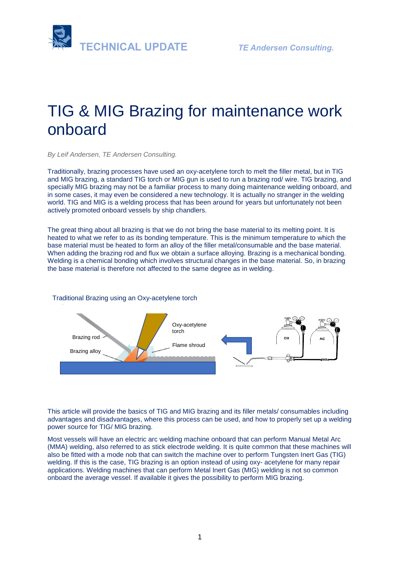

# TIG & MIG Brazing for maintenance work onboard

*By Leif Andersen, TE Andersen Consulting.* 

Traditionally, brazing processes have used an [oxy-acetylene torch](https://www.millerwelds.com/equipment/oxy-fuel/torches) to melt the filler metal, but in TIG and MIG brazing, a standard TIG torch or [MIG gun](https://www.millerwelds.com/accessories/guns-torches/miller-mig-guns) is used to run a brazing rod/ wire. TIG brazing, and specially MIG brazing may not be a familiar process to many doing maintenance welding onboard, and in some cases, it may even be considered a new technology. It is actually no stranger in the welding world. TIG and MIG is a welding process that has been around for years but unfortunately not been actively promoted onboard vessels by ship chandlers.

The great thing about all brazing is that we do not bring the base material to its melting point. It is heated to what we refer to as its bonding temperature. This is the minimum temperature to which the base material must be heated to form an alloy of the filler metal/consumable and the base material. When adding the brazing rod and flux we obtain a surface alloying. Brazing is a mechanical bonding. Welding is a chemical bonding which involves structural changes in the base material. So, in brazing the base material is therefore not affected to the same degree as in welding.

#### Traditional Brazing using an Oxy-acetylene torch



This article will provide the basics of TIG and MIG brazing and its filler metals/ consumables including advantages and disadvantages, where this process can be used, and how to properly set up a welding power source for TIG/ MIG brazing.

Most vessels will have an electric arc welding machine onboard that can perform Manual Metal Arc (MMA) welding, also referred to as stick electrode welding. It is quite common that these machines will also be fitted with a mode nob that can switch the machine over to perform Tungsten Inert Gas (TIG) welding. If this is the case, TIG brazing is an option instead of using oxy- acetylene for many repair applications. Welding machines that can perform Metal Inert Gas (MIG) welding is not so common onboard the average vessel. If available it gives the possibility to perform MIG brazing.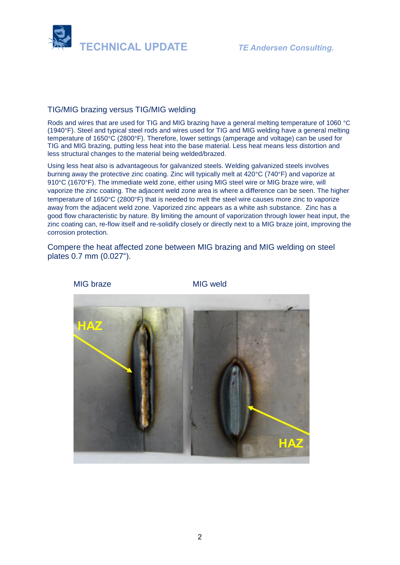

### TIG/MIG brazing versus TIG/MIG welding

Rods and wires that are used for TIG and MIG brazing have a general melting temperature of 1060 °C (1940°F). Steel and typical steel rods and wires used for TIG and MIG welding have a general melting temperature of 1650°C (2800°F). Therefore, lower settings (amperage and voltage) can be used for TIG and MIG brazing, putting less heat into the base material. Less heat means less distortion and less structural changes to the material being welded/brazed.

Using less heat also is advantageous for galvanized steels. Welding galvanized steels involves burning away the protective zinc coating. Zinc will typically melt at 420°C (740°F) and vaporize at 910°C (1670°F). The immediate weld zone, either using MIG steel wire or MIG braze wire, will vaporize the zinc coating. The adjacent weld zone area is where a difference can be seen. The higher temperature of 1650°C (2800°F) that is needed to melt the steel wire causes more zinc to vaporize away from the adjacent weld zone. Vaporized zinc appears as a white ash substance. Zinc has a good flow characteristic by nature. By limiting the amount of vaporization through lower heat input, the zinc coating can, re-flow itself and re-solidify closely or directly next to a MIG braze joint, improving the corrosion protection.

Compere the heat affected zone between MIG brazing and MIG welding on steel plates 0.7 mm (0.027").

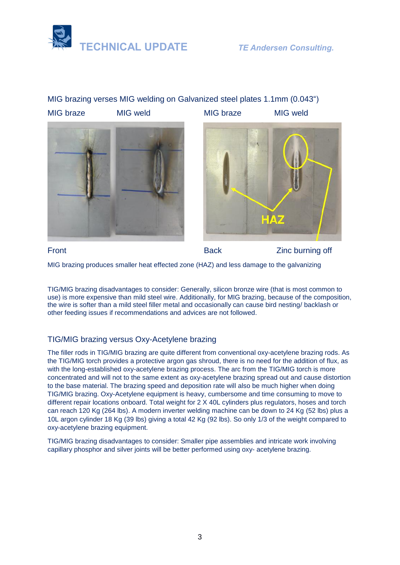

# MIG brazing verses MIG welding on Galvanized steel plates 1.1mm (0.043") MIG braze MIG weld MIG braze MIG weld





Front Executive Contract Contract Back Executive Contract Article 2 and District Back Executive Contract Article 2 and District Back Executive Contract Back Executive Contract Article 2 and District Back Executive Contract

MIG brazing produces smaller heat effected zone (HAZ) and less damage to the galvanizing

TIG/MIG brazing disadvantages to consider: Generally, silicon bronze wire (that is most common to use) is more expensive than mild steel wire. Additionally, for MIG brazing, because of the composition, the wire is softer than a mild steel filler metal and occasionally can cause bird nesting/ backlash or other feeding issues if recommendations and advices are not followed.

## TIG/MIG brazing versus Oxy-Acetylene brazing

The filler rods in TIG/MIG brazing are quite different from conventional oxy-acetylene brazing rods. As the TIG/MIG torch provides a protective argon gas shroud, there is no need for the addition of flux, as with the long-established oxy-acetylene brazing process. The arc from the TIG/MIG torch is more concentrated and will not to the same extent as oxy-acetylene brazing spread out and cause distortion to the base material. The brazing speed and deposition rate will also be much higher when doing TIG/MIG brazing. Oxy-Acetylene equipment is heavy, cumbersome and time consuming to move to different repair locations onboard. Total weight for 2 X 40L cylinders plus regulators, hoses and torch can reach 120 Kg (264 lbs). A modern inverter welding machine can be down to 24 Kg (52 lbs) plus a 10L argon cylinder 18 Kg (39 lbs) giving a total 42 Kg (92 lbs). So only 1/3 of the weight compared to oxy-acetylene brazing equipment.

TIG/MIG brazing disadvantages to consider: Smaller pipe assemblies and intricate work involving capillary phosphor and silver joints will be better performed using oxy- acetylene brazing.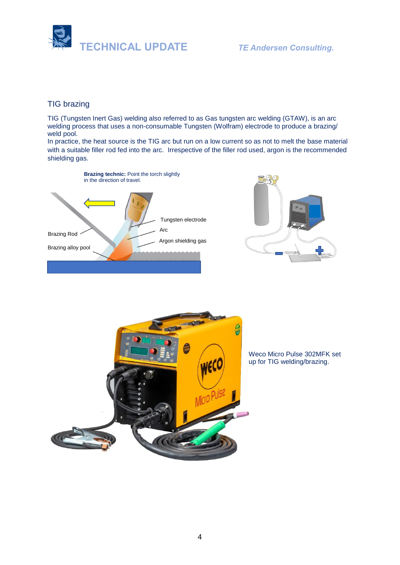

# TIG brazing

TIG (Tungsten Inert Gas) welding also referred to as Gas tungsten arc welding (GTAW), is an arc welding process that uses a non-consumable Tungsten (Wolfram) electrode to produce a brazing/ weld pool.

In practice, the heat source is the TIG arc but run on a low current so as not to melt the base material with a suitable filler rod fed into the arc. Irrespective of the filler rod used, argon is the recommended shielding gas.







Weco Micro Pulse 302MFK set up for TIG welding/brazing.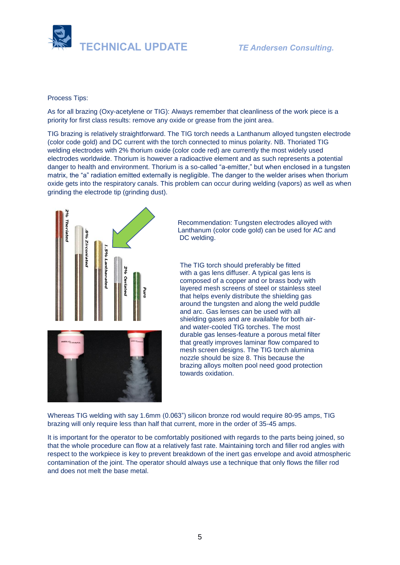

#### Process Tips:

As for all brazing (Oxy-acetylene or TIG): Always remember that cleanliness of the work piece is a priority for first class results: remove any oxide or grease from the joint area.

TIG brazing is relatively straightforward. The TIG torch needs a Lanthanum alloyed tungsten electrode (color code gold) and DC current with the torch connected to minus polarity. NB. Thoriated TIG welding electrodes with 2% thorium oxide (color code red) are currently the most widely used electrodes worldwide. Thorium is however a radioactive element and as such represents a potential danger to health and environment. Thorium is a so-called "a-emitter," but when enclosed in a tungsten matrix, the "a" radiation emitted externally is negligible. The danger to the welder arises when thorium oxide gets into the respiratory canals. This problem can occur during welding (vapors) as well as when grinding the electrode tip (grinding dust).



Recommendation: Tungsten electrodes alloyed with Lanthanum (color code gold) can be used for AC and DC welding.

The TIG torch should preferably be fitted with a gas lens diffuser. A typical gas lens is composed of a copper and or brass body with layered mesh screens of steel or stainless steel that helps evenly distribute the shielding gas around the tungsten and along the weld puddle and arc. Gas lenses can be used with all shielding gases and are available for both airand water-cooled TIG torches. The most durable gas lenses-feature a porous metal filter that greatly improves laminar flow compared to mesh screen designs. The TIG torch alumina nozzle should be size 8. This because the brazing alloys molten pool need good protection towards oxidation.

Whereas TIG welding with say 1.6mm (0.063") silicon bronze rod would require 80-95 amps, TIG brazing will only require less than half that current, more in the order of 35-45 amps.

It is important for the operator to be comfortably positioned with regards to the parts being joined, so that the whole procedure can flow at a relatively fast rate. Maintaining torch and filler rod angles with respect to the workpiece is key to prevent breakdown of the inert gas envelope and avoid atmospheric contamination of the joint. The operator should always use a technique that only flows the filler rod and does not melt the base metal.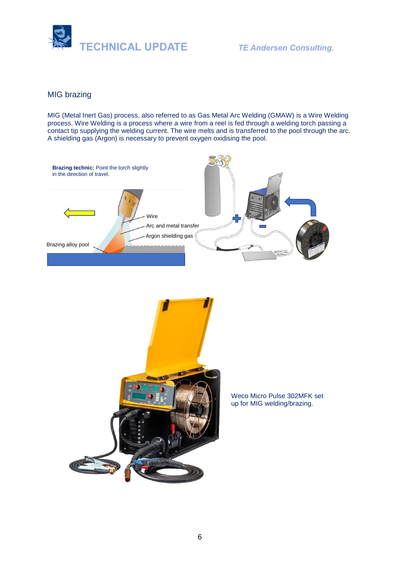

# MIG brazing

MIG (Metal Inert Gas) process, also referred to as Gas Metal Arc Welding (GMAW) is a Wire Welding process. Wire Welding is a process where a wire from a reel is fed through a welding torch passing a contact tip supplying the welding current. The wire melts and is transferred to the pool through the arc. A shielding gas (Argon) is necessary to prevent oxygen oxidising the pool.





Weco Micro Pulse 302MFK set up for MIG welding/brazing.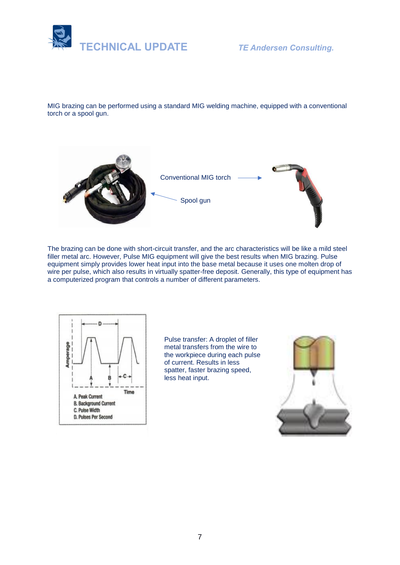

MIG brazing can be performed using a standard MIG welding machine, equipped with a conventional torch or a spool gun.



The brazing can be done with short-circuit transfer, and the arc characteristics will be like a mild steel filler metal arc. However, Pulse MIG equipment will give the best results when MIG brazing. Pulse equipment simply provides lower heat input into the base metal because it uses one molten drop of wire per pulse, which also results in virtually spatter-free deposit. Generally, this type of equipment has a computerized program that controls a number of different parameters.



Pulse transfer: A droplet of filler metal transfers from the wire to the workpiece during each pulse of current. Results in less spatter, faster brazing speed, less heat input.

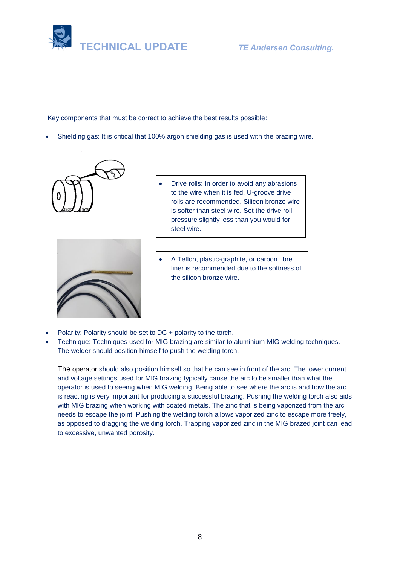

Key components that must be correct to achieve the best results possible:

• Shielding gas: It is critical that 100% argon shielding gas is used with the brazing wire.





- Drive rolls: In order to avoid any abrasions to the wire when it is fed, U-groove drive rolls are recommended. Silicon bronze wire is softer than steel wire. Set the drive roll pressure slightly less than you would for steel wire.
- A Teflon, plastic-graphite, or carbon fibre liner is recommended due to the softness of the silicon bronze wire.
- Polarity: Polarity should be set to DC + polarity to the torch.
- Technique: Techniques used for MIG brazing are similar to aluminium MIG welding techniques. The welder should position himself to push the welding torch.

The operator should also position himself so that he can see in front of the arc. The lower current and voltage settings used for MIG brazing typically cause the arc to be smaller than what the operator is used to seeing when MIG welding. Being able to see where the arc is and how the arc is reacting is very important for producing a successful brazing. Pushing the welding torch also aids with MIG brazing when working with coated metals. The zinc that is being vaporized from the arc needs to escape the joint. Pushing the welding torch allows vaporized zinc to escape more freely, as opposed to dragging the welding torch. Trapping vaporized zinc in the MIG brazed joint can lead to excessive, unwanted porosity.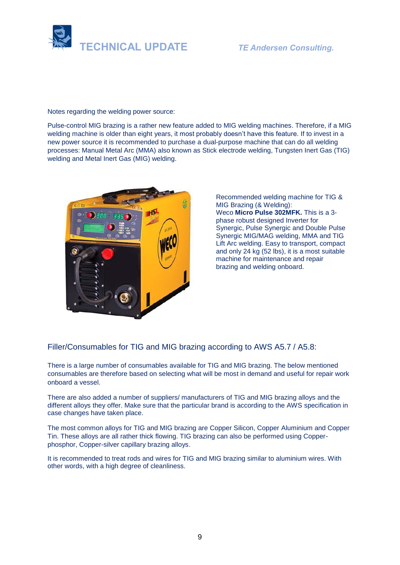

Notes regarding the welding power source:

Pulse-control MIG brazing is a rather new feature added to MIG welding machines. Therefore, if a MIG welding machine is older than eight years, it most probably doesn't have this feature. If to invest in a new power source it is recommended to purchase a dual-purpose machine that can do all welding processes: Manual Metal Arc (MMA) also known as Stick electrode welding, Tungsten Inert Gas (TIG) welding and Metal Inert Gas (MIG) welding.



Recommended welding machine for TIG & MIG Brazing (& Welding): Weco **Micro Pulse 302MFK.** This is a 3 phase robust designed Inverter for Synergic, Pulse Synergic and Double Pulse Synergic MIG/MAG welding, MMA and TIG Lift Arc welding. Easy to transport, compact and only 24 kg (52 lbs), it is a most suitable machine for maintenance and repair brazing and welding onboard.

Filler/Consumables for TIG and MIG brazing according to AWS A5.7 / A5.8:

There is a large number of consumables available for TIG and MIG brazing. The below mentioned consumables are therefore based on selecting what will be most in demand and useful for repair work onboard a vessel.

There are also added a number of suppliers/ manufacturers of TIG and MIG brazing alloys and the different alloys they offer. Make sure that the particular brand is according to the AWS specification in case changes have taken place.

The most common alloys for TIG and MIG brazing are Copper Silicon, Copper Aluminium and Copper Tin. These alloys are all rather thick flowing. TIG brazing can also be performed using Copperphosphor, Copper-silver capillary brazing alloys.

It is recommended to treat rods and wires for TIG and MIG brazing similar to aluminium wires. With other words, with a high degree of cleanliness.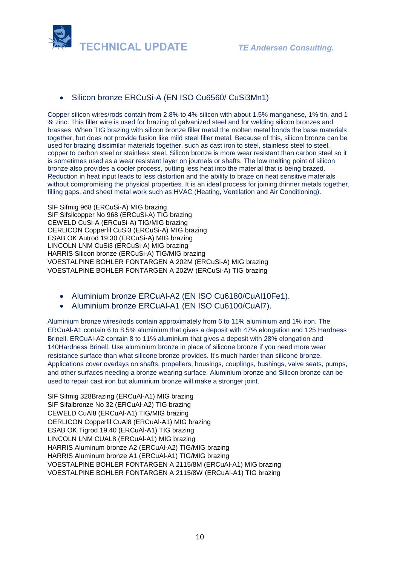

# • Silicon bronze ERCuSi-A (EN ISO Cu6560/ CuSi3Mn1)

Copper silicon wires/rods contain from 2.8% to 4% silicon with about 1.5% manganese, 1% tin, and 1 % zinc. This filler wire is used for brazing of galvanized steel and for welding silicon bronzes and brasses. When TIG brazing with silicon bronze filler metal the molten metal bonds the base materials together, but does not provide fusion like mild steel filler metal. Because of this, silicon bronze can be used for brazing dissimilar materials together, such as cast iron to steel, stainless steel to steel, copper to carbon steel or stainless steel. Silicon bronze is more wear resistant than carbon steel so it is sometimes used as a wear resistant layer on journals or shafts. The low melting point of silicon bronze also provides a cooler process, putting less heat into the material that is being brazed. Reduction in heat input leads to less distortion and the ability to braze on heat sensitive materials without compromising the physical properties. It is an ideal process for joining thinner metals together, filling gaps, and sheet metal work such as HVAC (Heating, Ventilation and Air Conditioning).

SIF Sifmig 968 (ERCuSi-A) MIG brazing SIF Sifsilcopper No 968 (ERCuSi-A) TIG brazing CEWELD CuSi-A (ERCuSi-A) TIG/MIG brazing OERLICON Copperfil CuSi3 (ERCuSi-A) MIG brazing ESAB OK Autrod 19.30 (ERCuSi-A) MIG brazing LINCOLN LNM CuSi3 (ERCuSi-A) MIG brazing HARRIS Silicon bronze (ERCuSi-A) TIG/MIG brazing VOESTALPINE BOHLER FONTARGEN A 202M (ERCuSi-A) MIG brazing VOESTALPINE BOHLER FONTARGEN A 202W (ERCuSi-A) TIG brazing

- Aluminium bronze ERCuAl-A2 (EN ISO Cu6180/CuAl10Fe1).
- Aluminium bronze ERCuAl-A1 (EN ISO Cu6100/CuAl7).

Aluminium bronze wires/rods contain approximately from 6 to 11% aluminium and 1% iron. The ERCuAl-A1 contain 6 to 8.5% aluminium that gives a deposit with 47% elongation and 125 Hardness Brinell. ERCuAl-A2 contain 8 to 11% aluminium that gives a deposit with 28% elongation and 140Hardness Brinell. Use aluminium bronze in place of silicone bronze if you need more wear resistance surface than what silicone bronze provides. It's much harder than silicone bronze. Applications cover overlays on shafts, propellers, housings, couplings, bushings, valve seats, pumps, and other surfaces needing a bronze wearing surface. Aluminium bronze and Silicon bronze can be used to repair cast iron but aluminium bronze will make a stronger joint.

SIF Sifmig 328Brazing (ERCuAl-A1) MIG brazing SIF Sifalbronze No 32 (ERCuAl-A2) TIG brazing CEWELD CuAl8 (ERCuAl-A1) TIG/MIG brazing OERLICON Copperfil CuAl8 (ERCuAl-A1) MIG brazing ESAB OK Tigrod 19.40 (ERCuAl-A1) TIG brazing LINCOLN LNM CUAL8 (ERCuAl-A1) MIG brazing HARRIS Aluminum bronze A2 (ERCuAl-A2) TIG/MIG brazing HARRIS Aluminum bronze A1 (ERCuAl-A1) TIG/MIG brazing VOESTALPINE BOHLER FONTARGEN A 2115/8M (ERCuAl-A1) MIG brazing VOESTALPINE BOHLER FONTARGEN A 2115/8W (ERCuAl-A1) TIG brazing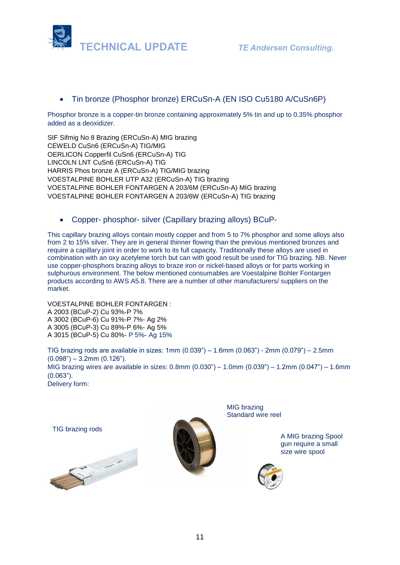

# • Tin bronze (Phosphor bronze) ERCuSn-A (EN ISO Cu5180 A/CuSn6P)

Phosphor bronze is a copper-tin bronze containing approximately 5% tin and up to 0.35% phosphor added as a deoxidizer.

SIF Sifmig No 8 Brazing (ERCuSn-A) MIG brazing CEWELD CuSn6 (ERCuSn-A) TIG/MIG OERLICON Copperfil CuSn6 (ERCuSn-A) TIG LINCOLN LNT CuSn6 (ERCuSn-A) TIG HARRIS Phos bronze A (ERCuSn-A) TIG/MIG brazing VOESTALPINE BOHLER UTP A32 (ERCuSn-A) TIG brazing VOESTALPINE BOHLER FONTARGEN A 203/6M (ERCuSn-A) MIG brazing VOESTALPINE BOHLER FONTARGEN A 203/6W (ERCuSn-A) TIG brazing

• Copper- phosphor- silver (Capillary brazing alloys) BCuP-

This capillary brazing alloys contain mostly copper and from 5 to 7% phosphor and some alloys also from 2 to 15% silver. They are in general thinner flowing than the previous mentioned bronzes and require a capillary joint in order to work to its full capacity. Traditionally these alloys are used in combination with an oxy acetylene torch but can with good result be used for TIG brazing. NB. Never use copper-phosphors brazing alloys to braze iron or nickel-based alloys or for parts working in sulphurous environment. The below mentioned consumables are Voestalpine Bohler Fontargen products according to AWS A5.8. There are a number of other manufacturers/ suppliers on the market.

VOESTALPINE BOHLER FONTARGEN : A 2003 (BCuP-2) Cu 93%-P 7% A 3002 (BCuP-6) Cu 91%-P 7%- Ag 2% A 3005 (BCuP-3) Cu 89%-P 6%- Ag 5% A 3015 (BCuP-5) Cu 80%- P 5%- Ag 15%

TIG brazing rods are available in sizes: 1mm (0.039") – 1.6mm (0.063") - 2mm (0.079") – 2.5mm  $(0.098") - 3.2$ mm $(0.126")$ . MIG brazing wires are available in sizes: 0.8mm (0.030") – 1.0mm (0.039") – 1.2mm (0.047") – 1.6mm (0.063"). Delivery form:

TIG brazing rods





[MIG br](https://www.google.co.uk/url?sa=i&rct=j&q=&esrc=s&source=images&cd=&cad=rja&uact=8&ved=2ahUKEwjm1eWz29TgAhVBmIsKHUYdAJYQjRx6BAgBEAU&url=https%3A%2F%2Fwww.weldingsuppliesdirect.co.uk%2Fsifmig-328-mig-brazing-wire-1-2mm-12-5kg.html&psig=AOvVaw1aVB-5sDC4nosXPJKLxgSv&ust=1551109511822388)azing Standard wire reel

> A MIG brazing Spool gun require a small size wire spool

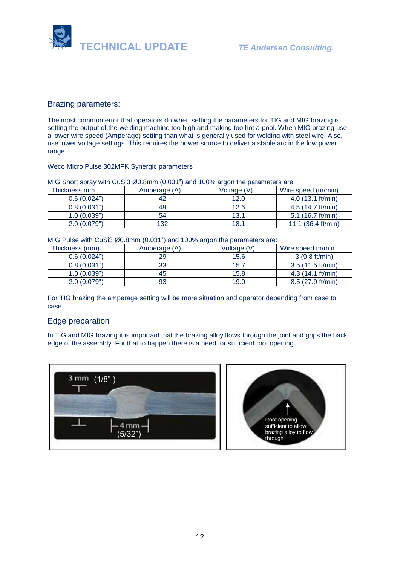

#### Brazing parameters:

The most common error that operators do when setting the parameters for TIG and MIG brazing is setting the output of the welding machine too high and making too hot a pool. When MIG brazing use a lower wire speed (Amperage) setting than what is generally used for welding with steel wire. Also, use lower voltage settings. This requires the power source to deliver a stable arc in the low power range.

#### Weco Micro Pulse 302MFK Synergic parameters

#### MIG Short spray with CuSi3 Ø0.8mm (0.031") and 100% argon the parameters are:

| Thickness mm | Amperage (A) | Voltage (V) | Wire speed (m/min)           |
|--------------|--------------|-------------|------------------------------|
| 0.6(0.024")  | 42           | 12.0        | $4.0$ (13.1 ft/min)          |
| 0.8(0.031")  | 48           | 12.6        | 4.5 (14.7 ft/min)            |
| 1.0(0.039")  | 54           | 13.1        | 5.1 $(16.7 ft/min)$          |
| 2.0(0.079")  | 132          | 18.1        | 11.1 $(36.4 \text{ ft/min})$ |

MIG Pulse with CuSi3 Ø0.8mm (0.031") and 100% argon the parameters are:

| Thickness (mm) | Amperage (A) | Voltage (V) | Wire speed m/min  |
|----------------|--------------|-------------|-------------------|
| 0.6(0.024")    | 29           | 15.6        | 3(9.8 ft/min)     |
| 0.8(0.031")    | 33           | 15.7        | 3.5(11.5 ft/min)  |
| 1.0(0.039")    | 45           | 15.8        | 4.3(14.1 ft/min)  |
| 2.0(0.079")    | 93           | 19.0        | 8.5 (27.9 ft/min) |

For TIG brazing the amperage setting will be more situation and operator depending from case to case.

#### Edge preparation

In TIG and MIG brazing it is important that the brazing alloy flows through the joint and grips the back edge of the assembly. For that to happen there is a need for sufficient root opening.